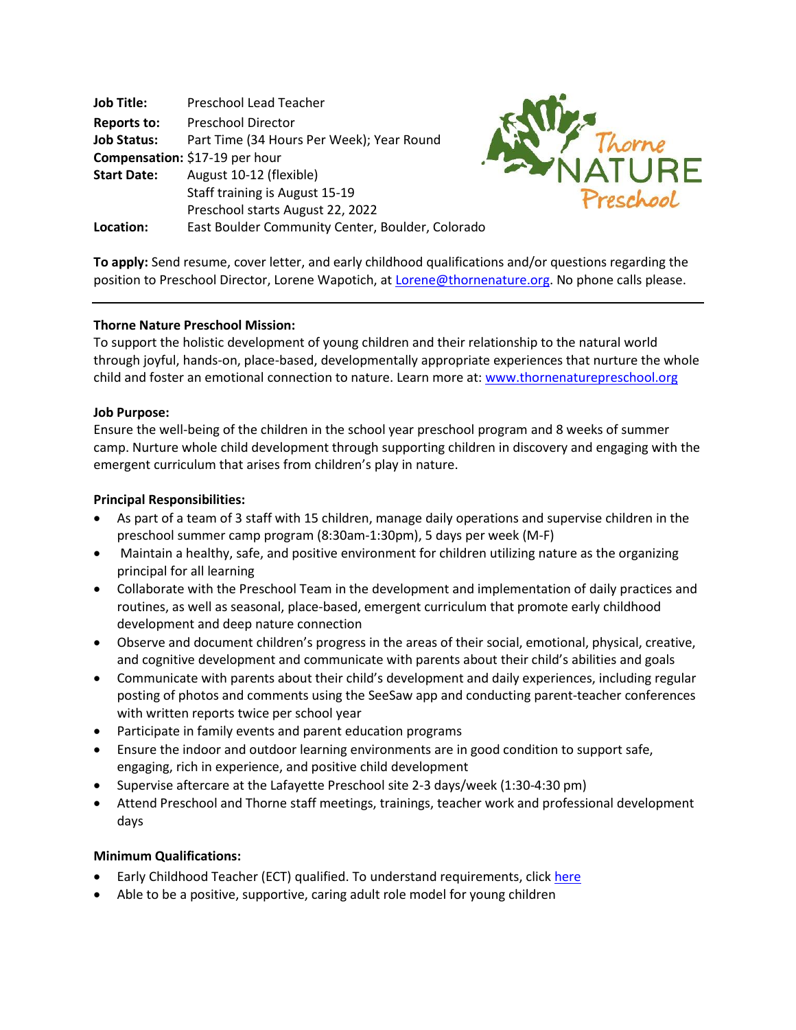| <b>Job Title:</b>  | <b>Preschool Lead Teacher</b>                    |
|--------------------|--------------------------------------------------|
| <b>Reports to:</b> | <b>Preschool Director</b>                        |
| <b>Job Status:</b> | Part Time (34 Hours Per Week); Year Round        |
|                    | Compensation: \$17-19 per hour                   |
| <b>Start Date:</b> | August 10-12 (flexible)                          |
|                    | Staff training is August 15-19                   |
|                    | Preschool starts August 22, 2022                 |
| Location:          | East Boulder Community Center, Boulder, Colorado |



**To apply:** Send resume, cover letter, and early childhood qualifications and/or questions regarding the position to Preschool Director, Lorene Wapotich, at Lorene@thornenature.org. No phone calls please.

### **Thorne Nature Preschool Mission:**

To support the holistic development of young children and their relationship to the natural world through joyful, hands-on, place-based, developmentally appropriate experiences that nurture the whole child and foster an emotional connection to nature. Learn more at: www.thornenaturepreschool.org

### **Job Purpose:**

Ensure the well-being of the children in the school year preschool program and 8 weeks of summer camp. Nurture whole child development through supporting children in discovery and engaging with the emergent curriculum that arises from children's play in nature.

### **Principal Responsibilities:**

- As part of a team of 3 staff with 15 children, manage daily operations and supervise children in the preschool summer camp program (8:30am-1:30pm), 5 days per week (M-F)
- Maintain a healthy, safe, and positive environment for children utilizing nature as the organizing principal for all learning
- Collaborate with the Preschool Team in the development and implementation of daily practices and routines, as well as seasonal, place-based, emergent curriculum that promote early childhood development and deep nature connection
- Observe and document children's progress in the areas of their social, emotional, physical, creative, and cognitive development and communicate with parents about their child's abilities and goals
- Communicate with parents about their child's development and daily experiences, including regular posting of photos and comments using the SeeSaw app and conducting parent-teacher conferences with written reports twice per school year
- Participate in family events and parent education programs
- Ensure the indoor and outdoor learning environments are in good condition to support safe, engaging, rich in experience, and positive child development
- Supervise aftercare at the Lafayette Preschool site 2-3 days/week (1:30-4:30 pm)
- Attend Preschool and Thorne staff meetings, trainings, teacher work and professional development days

## **Minimum Qualifications:**

- Early Childhood Teacher (ECT) qualified. To understand requirements, click here
- Able to be a positive, supportive, caring adult role model for young children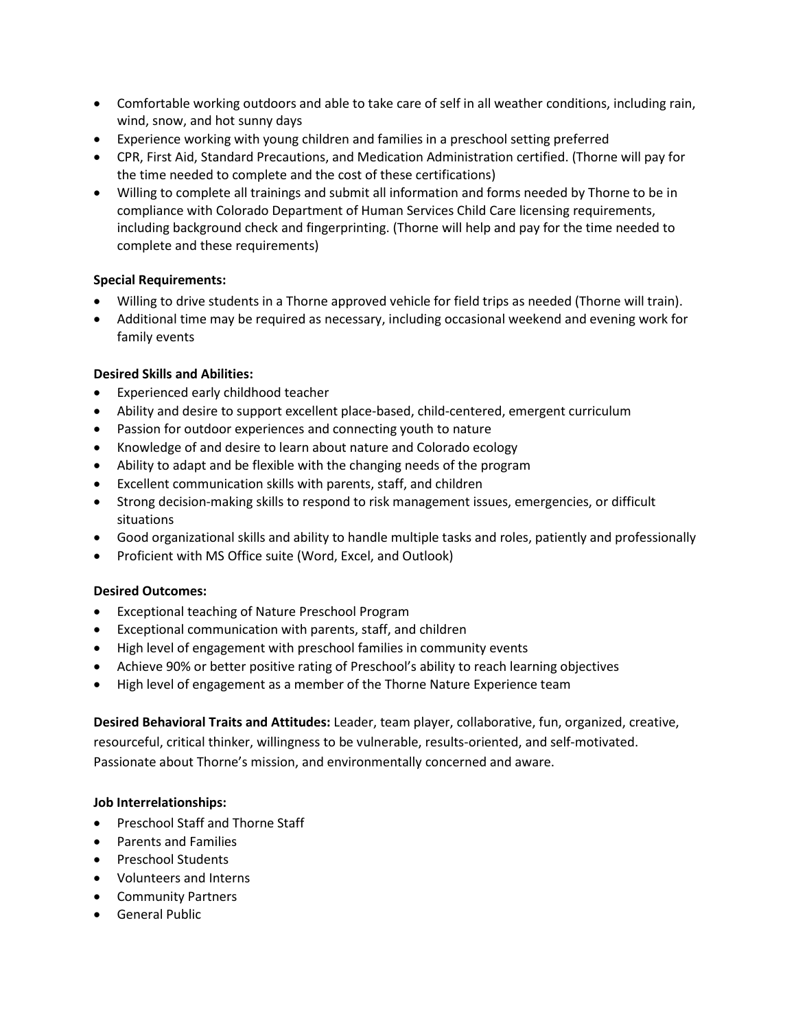- Comfortable working outdoors and able to take care of self in all weather conditions, including rain, wind, snow, and hot sunny days
- Experience working with young children and families in a preschool setting preferred
- CPR, First Aid, Standard Precautions, and Medication Administration certified. (Thorne will pay for the time needed to complete and the cost of these certifications)
- Willing to complete all trainings and submit all information and forms needed by Thorne to be in compliance with Colorado Department of Human Services Child Care licensing requirements, including background check and fingerprinting. (Thorne will help and pay for the time needed to complete and these requirements)

# **Special Requirements:**

- Willing to drive students in a Thorne approved vehicle for field trips as needed (Thorne will train).
- Additional time may be required as necessary, including occasional weekend and evening work for family events

# **Desired Skills and Abilities:**

- Experienced early childhood teacher
- Ability and desire to support excellent place-based, child-centered, emergent curriculum
- Passion for outdoor experiences and connecting youth to nature
- Knowledge of and desire to learn about nature and Colorado ecology
- Ability to adapt and be flexible with the changing needs of the program
- Excellent communication skills with parents, staff, and children
- Strong decision-making skills to respond to risk management issues, emergencies, or difficult situations
- Good organizational skills and ability to handle multiple tasks and roles, patiently and professionally
- Proficient with MS Office suite (Word, Excel, and Outlook)

## **Desired Outcomes:**

- Exceptional teaching of Nature Preschool Program
- Exceptional communication with parents, staff, and children
- High level of engagement with preschool families in community events
- Achieve 90% or better positive rating of Preschool's ability to reach learning objectives
- High level of engagement as a member of the Thorne Nature Experience team

# **Desired Behavioral Traits and Attitudes:** Leader, team player, collaborative, fun, organized, creative,

resourceful, critical thinker, willingness to be vulnerable, results-oriented, and self-motivated. Passionate about Thorne's mission, and environmentally concerned and aware.

## **Job Interrelationships:**

- Preschool Staff and Thorne Staff
- Parents and Families
- Preschool Students
- Volunteers and Interns
- Community Partners
- General Public